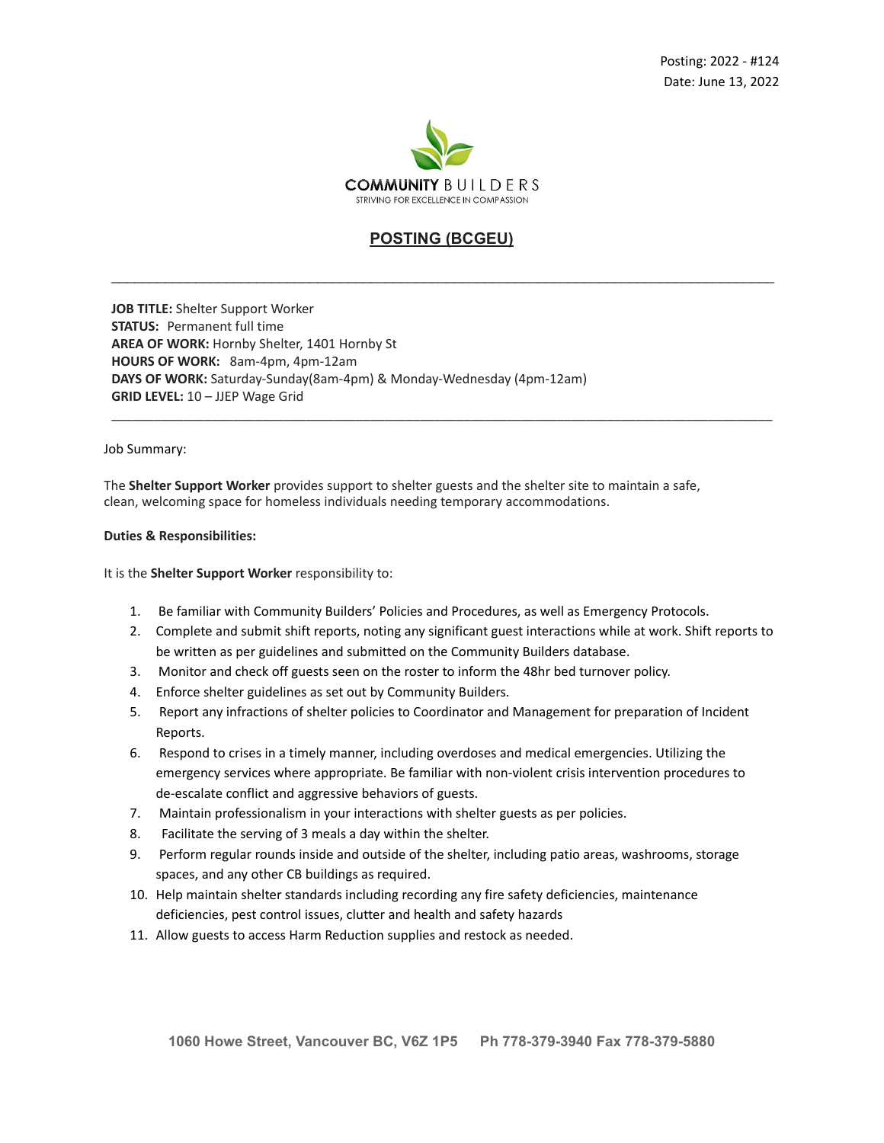

## **POSTING (BCGEU)**

\_\_\_\_\_\_\_\_\_\_\_\_\_\_\_\_\_\_\_\_\_\_\_\_\_\_\_\_\_\_\_\_\_\_\_\_\_\_\_\_\_\_\_\_\_\_\_\_\_\_\_\_\_\_\_\_\_\_\_\_\_\_\_\_\_\_\_\_\_\_\_\_\_\_\_\_\_\_\_\_\_\_\_\_\_\_\_

\_\_\_\_\_\_\_\_\_\_\_\_\_\_\_\_\_\_\_\_\_\_\_\_\_\_\_\_\_\_\_\_\_\_\_\_\_\_\_\_\_\_\_\_\_\_\_\_\_\_\_\_\_\_\_\_\_\_\_\_\_\_\_\_\_\_\_\_\_\_\_\_\_\_\_\_\_\_\_\_\_\_\_\_\_\_\_\_\_\_\_\_

**JOB TITLE:** Shelter Support Worker **STATUS:** Permanent full time **AREA OF WORK:** Hornby Shelter, 1401 Hornby St **HOURS OF WORK:** 8am-4pm, 4pm-12am **DAYS OF WORK:** Saturday-Sunday(8am-4pm) & Monday-Wednesday (4pm-12am) **GRID LEVEL:** 10 – JJEP Wage Grid

Job Summary:

The **Shelter Support Worker** provides support to shelter guests and the shelter site to maintain a safe, clean, welcoming space for homeless individuals needing temporary accommodations.

## **Duties & Responsibilities:**

It is the **Shelter Support Worker** responsibility to:

- 1. Be familiar with Community Builders' Policies and Procedures, as well as Emergency Protocols.
- 2. Complete and submit shift reports, noting any significant guest interactions while at work. Shift reports to be written as per guidelines and submitted on the Community Builders database.
- 3. Monitor and check off guests seen on the roster to inform the 48hr bed turnover policy.
- 4. Enforce shelter guidelines as set out by Community Builders.
- 5. Report any infractions of shelter policies to Coordinator and Management for preparation of Incident Reports.
- 6. Respond to crises in a timely manner, including overdoses and medical emergencies. Utilizing the emergency services where appropriate. Be familiar with non-violent crisis intervention procedures to de-escalate conflict and aggressive behaviors of guests.
- 7. Maintain professionalism in your interactions with shelter guests as per policies.
- 8. Facilitate the serving of 3 meals a day within the shelter.
- 9. Perform regular rounds inside and outside of the shelter, including patio areas, washrooms, storage spaces, and any other CB buildings as required.
- 10. Help maintain shelter standards including recording any fire safety deficiencies, maintenance deficiencies, pest control issues, clutter and health and safety hazards
- 11. Allow guests to access Harm Reduction supplies and restock as needed.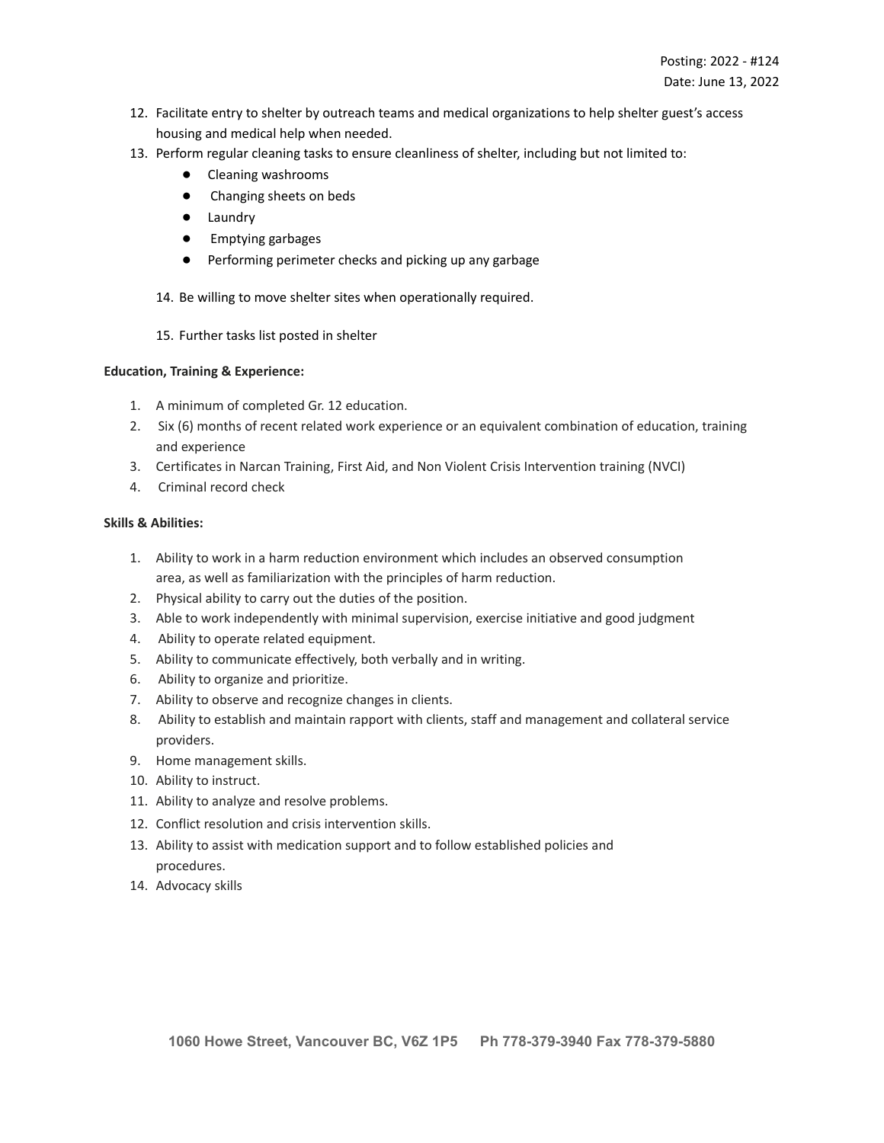- 12. Facilitate entry to shelter by outreach teams and medical organizations to help shelter guest's access housing and medical help when needed.
- 13. Perform regular cleaning tasks to ensure cleanliness of shelter, including but not limited to:
	- Cleaning washrooms
	- Changing sheets on beds
	- Laundry
	- Emptying garbages
	- Performing perimeter checks and picking up any garbage

14. Be willing to move shelter sites when operationally required.

15. Further tasks list posted in shelter

## **Education, Training & Experience:**

- 1. A minimum of completed Gr. 12 education.
- 2. Six (6) months of recent related work experience or an equivalent combination of education, training and experience
- 3. Certificates in Narcan Training, First Aid, and Non Violent Crisis Intervention training (NVCI)
- 4. Criminal record check

## **Skills & Abilities:**

- 1. Ability to work in a harm reduction environment which includes an observed consumption area, as well as familiarization with the principles of harm reduction.
- 2. Physical ability to carry out the duties of the position.
- 3. Able to work independently with minimal supervision, exercise initiative and good judgment
- 4. Ability to operate related equipment.
- 5. Ability to communicate effectively, both verbally and in writing.
- 6. Ability to organize and prioritize.
- 7. Ability to observe and recognize changes in clients.
- 8. Ability to establish and maintain rapport with clients, staff and management and collateral service providers.
- 9. Home management skills.
- 10. Ability to instruct.
- 11. Ability to analyze and resolve problems.
- 12. Conflict resolution and crisis intervention skills.
- 13. Ability to assist with medication support and to follow established policies and procedures.
- 14. Advocacy skills